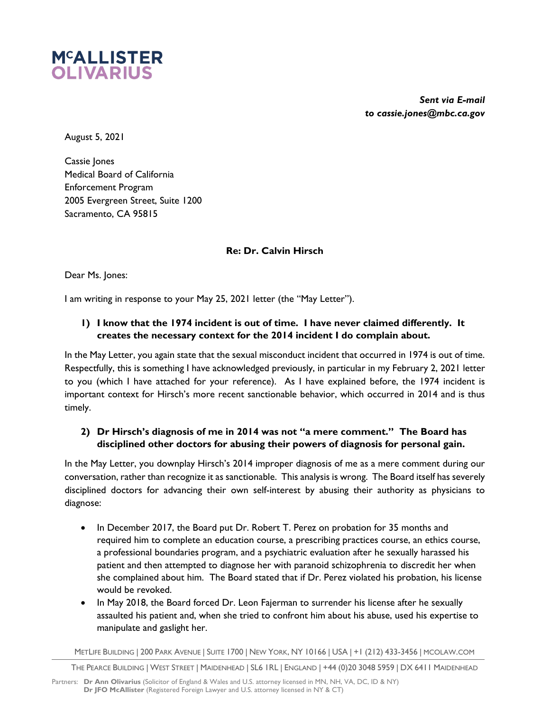

*Sent via E-mail to cassie.jones@mbc.ca.gov*

August 5, 2021

Cassie Jones Medical Board of California Enforcement Program 2005 Evergreen Street, Suite 1200 Sacramento, CA 95815

### **Re: Dr. Calvin Hirsch**

Dear Ms. Jones:

I am writing in response to your May 25, 2021 letter (the "May Letter").

# **1) I know that the 1974 incident is out of time. I have never claimed differently. It creates the necessary context for the 2014 incident I do complain about.**

In the May Letter, you again state that the sexual misconduct incident that occurred in 1974 is out of time. Respectfully, this is something I have acknowledged previously, in particular in my February 2, 2021 letter to you (which I have attached for your reference). As I have explained before, the 1974 incident is important context for Hirsch's more recent sanctionable behavior, which occurred in 2014 and is thus timely.

### **2) Dr Hirsch's diagnosis of me in 2014 was not "a mere comment." The Board has disciplined other doctors for abusing their powers of diagnosis for personal gain.**

In the May Letter, you downplay Hirsch's 2014 improper diagnosis of me as a mere comment during our conversation, rather than recognize it as sanctionable. This analysis is wrong. The Board itself has severely disciplined doctors for advancing their own self-interest by abusing their authority as physicians to diagnose:

- In December 2017, the Board put Dr. Robert T. Perez on probation for 35 months and required him to complete an education course, a prescribing practices course, an ethics course, a professional boundaries program, and a psychiatric evaluation after he sexually harassed his patient and then attempted to diagnose her with paranoid schizophrenia to discredit her when she complained about him. The Board stated that if Dr. Perez violated his probation, his license would be revoked.
- In May 2018, the Board forced Dr. Leon Fajerman to surrender his license after he sexually assaulted his patient and, when she tried to confront him about his abuse, used his expertise to manipulate and gaslight her.

METLIFE BUILDING | 200 PARK AVENUE | SUITE 1700 | NEW YORK, NY 10166 | USA | +1 (212) 433-3456 | MCOLAW.COM

THE PEARCE BUILDING | WEST STREET | MAIDENHEAD | SL6 1RL | ENGLAND | +44 (0)20 3048 5959 | DX 6411 MAIDENHEAD